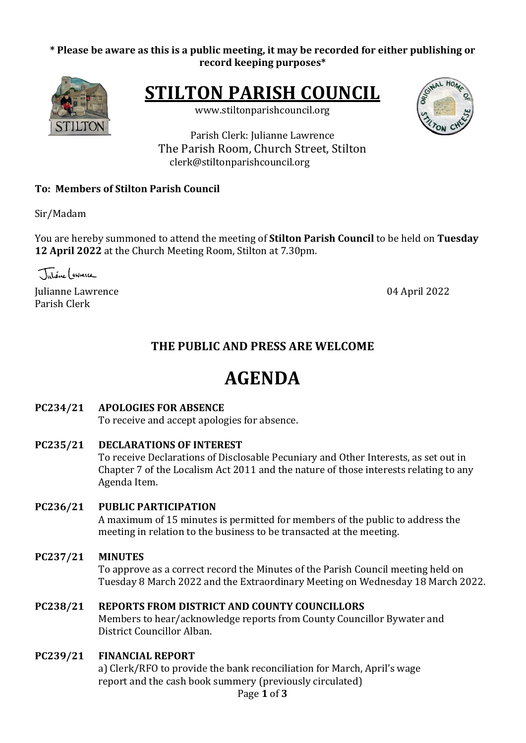#### \* Please be aware as this is a public meeting, it may be recorded for either publishing or **record keeping purposes\***



**STILTON PARISH COUNCIL** 

www.stiltonparishcouncil.org



Parish Clerk: Julianne Lawrence The Parish Room, Church Street, Stilton clerk@stiltonparishcouncil.org

#### **To: Members of Stilton Parish Council**

Sir/Madam

You are hereby summoned to attend the meeting of **Stilton Parish Council** to be held on Tuesday **12 April 2022** at the Church Meeting Room, Stilton at 7.30pm.

Tutione (gwnerce

Iulianne Lawrence **04 April 2022** Parish Clerk

## **THE PUBLIC AND PRESS ARE WELCOME**

# **AGENDA**

#### **PC234/21 APOLOGIES FOR ABSENCE**

To receive and accept apologies for absence.

**PC235/21 DECLARATIONS OF INTEREST** 

To receive Declarations of Disclosable Pecuniary and Other Interests, as set out in Chapter 7 of the Localism Act 2011 and the nature of those interests relating to any Agenda Item.

#### **PC236/21 PUBLIC PARTICIPATION**

A maximum of 15 minutes is permitted for members of the public to address the meeting in relation to the business to be transacted at the meeting.

#### **PC237/21 MINUTES**

To approve as a correct record the Minutes of the Parish Council meeting held on Tuesday 8 March 2022 and the Extraordinary Meeting on Wednesday 18 March 2022.

#### **PC238/21 REPORTS FROM DISTRICT AND COUNTY COUNCILLORS**

Members to hear/acknowledge reports from County Councillor Bywater and District Councillor Alban.

#### **PC239/21 FINANCIAL REPORT**

a) Clerk/RFO to provide the bank reconciliation for March, April's wage report and the cash book summery (previously circulated)

Page **1** of **3**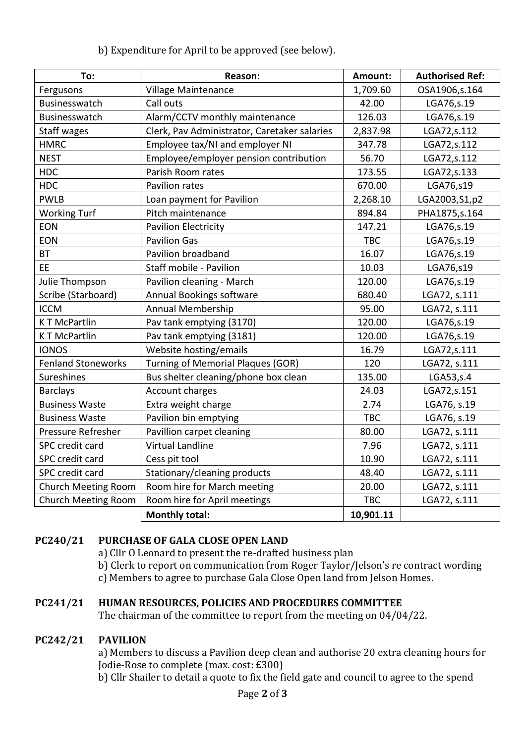| To:                        | Reason:                                      | Amount:    | <b>Authorised Ref:</b> |
|----------------------------|----------------------------------------------|------------|------------------------|
| Fergusons                  | Village Maintenance                          | 1,709.60   | OSA1906,s.164          |
| Businesswatch              | Call outs                                    | 42.00      | LGA76, s.19            |
| Businesswatch              | Alarm/CCTV monthly maintenance               | 126.03     | LGA76, s.19            |
| <b>Staff wages</b>         | Clerk, Pav Administrator, Caretaker salaries | 2,837.98   | LGA72,s.112            |
| <b>HMRC</b>                | Employee tax/NI and employer NI              | 347.78     | LGA72,s.112            |
| <b>NEST</b>                | Employee/employer pension contribution       | 56.70      | LGA72,s.112            |
| <b>HDC</b>                 | Parish Room rates                            | 173.55     | LGA72, s.133           |
| <b>HDC</b>                 | Pavilion rates                               | 670.00     | LGA76,s19              |
| PWLB                       | Loan payment for Pavilion                    | 2,268.10   | LGA2003, S1, p2        |
| <b>Working Turf</b>        | Pitch maintenance                            | 894.84     | PHA1875, s. 164        |
| EON                        | <b>Pavilion Electricity</b>                  | 147.21     | LGA76, s.19            |
| <b>EON</b>                 | <b>Pavilion Gas</b>                          | <b>TBC</b> | LGA76, s.19            |
| <b>BT</b>                  | Pavilion broadband                           | 16.07      | LGA76, s.19            |
| EE                         | Staff mobile - Pavilion                      | 10.03      | LGA76,s19              |
| Julie Thompson             | Pavilion cleaning - March                    | 120.00     | LGA76, s.19            |
| Scribe (Starboard)         | Annual Bookings software                     | 680.40     | LGA72, s.111           |
| <b>ICCM</b>                | Annual Membership                            | 95.00      | LGA72, s.111           |
| <b>KT McPartlin</b>        | Pav tank emptying (3170)                     | 120.00     | LGA76,s.19             |
| <b>KT McPartlin</b>        | Pav tank emptying (3181)                     | 120.00     | LGA76, s.19            |
| <b>IONOS</b>               | Website hosting/emails                       | 16.79      | LGA72,s.111            |
| <b>Fenland Stoneworks</b>  | <b>Turning of Memorial Plaques (GOR)</b>     | 120        | LGA72, s.111           |
| Sureshines                 | Bus shelter cleaning/phone box clean         | 135.00     | LGA53, s.4             |
| <b>Barclays</b>            | Account charges                              | 24.03      | LGA72, s.151           |
| <b>Business Waste</b>      | Extra weight charge                          | 2.74       | LGA76, s.19            |
| <b>Business Waste</b>      | Pavilion bin emptying                        | <b>TBC</b> | LGA76, s.19            |
| Pressure Refresher         | Pavillion carpet cleaning                    | 80.00      | LGA72, s.111           |
| SPC credit card            | Virtual Landline                             | 7.96       | LGA72, s.111           |
| SPC credit card            | Cess pit tool                                | 10.90      | LGA72, s.111           |
| SPC credit card            | Stationary/cleaning products                 | 48.40      | LGA72, s.111           |
| Church Meeting Room        | Room hire for March meeting                  | 20.00      | LGA72, s.111           |
| <b>Church Meeting Room</b> | Room hire for April meetings                 | <b>TBC</b> | LGA72, s.111           |
|                            | <b>Monthly total:</b>                        | 10,901.11  |                        |

#### **PC240/21 PURCHASE OF GALA CLOSE OPEN LAND**

a) Cllr O Leonard to present the re-drafted business plan

b) Clerk to report on communication from Roger Taylor/Jelson's re contract wording

c) Members to agree to purchase Gala Close Open land from Jelson Homes.

#### **PC241/21 HUMAN RESOURCES, POLICIES AND PROCEDURES COMMITTEE**

The chairman of the committee to report from the meeting on  $04/04/22$ .

#### **PC242/21 PAVILION**

a) Members to discuss a Pavilion deep clean and authorise 20 extra cleaning hours for Jodie-Rose to complete (max. cost: £300)

b) Cllr Shailer to detail a quote to fix the field gate and council to agree to the spend